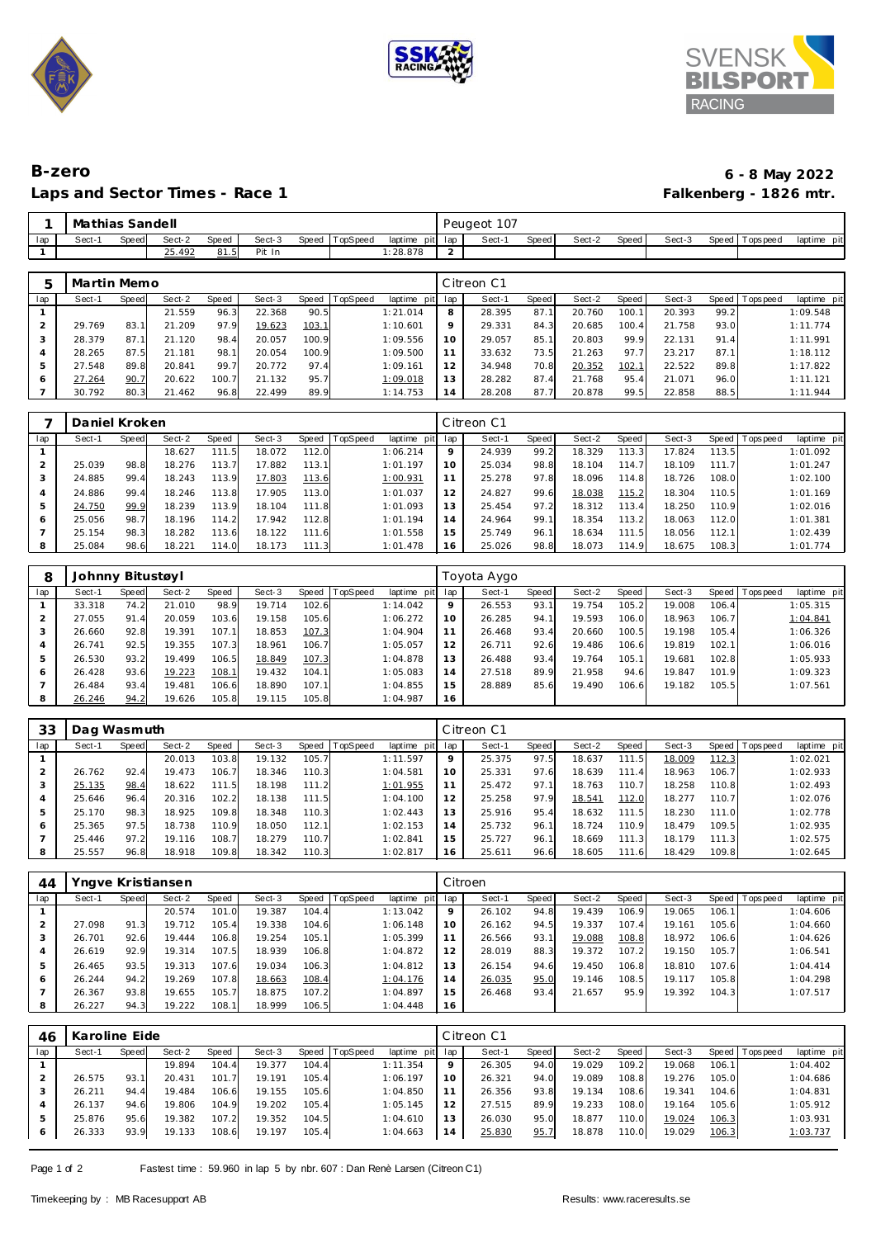





## **B-zero 6 - 8 May 2022** Laps and Sector Times - Race 1

|     | Mathias Sandell |       |        |       |        |                |                 |        | Peugeot 107 |       |        |       |        |                |             |
|-----|-----------------|-------|--------|-------|--------|----------------|-----------------|--------|-------------|-------|--------|-------|--------|----------------|-------------|
| lap | Sect-1          | Speed | Sect-2 | Speed | Sect-3 | Speed TopSpeed | laptime pit lap |        | Sect-       | Speed | Sect-2 | Speed | Sect-3 | Speed Topspeed | laptime pit |
|     |                 |       | 25.492 | 81.5  | Pit In |                | 28.878          | $\sim$ |             |       |        |       |        |                |             |

|     | Martin Memo |       |        |       |        |       |                 |             |                | Citreon C1 |       |        |       |        |      |                 |             |
|-----|-------------|-------|--------|-------|--------|-------|-----------------|-------------|----------------|------------|-------|--------|-------|--------|------|-----------------|-------------|
| lap | Sect-1      | Speed | Sect-2 | Speed | Sect-3 | Speed | <b>TopSpeed</b> | laptime pit | lap            | Sect-1     | Speed | Sect-2 | Speed | Sect-3 |      | Speed Tops peed | laptime pit |
|     |             |       | 21.559 | 96.3  | 22.368 | 90.5  |                 | 1:21.014    | 8              | 28.395     | 87.1  | 20.760 | 100.1 | 20.393 | 99.2 |                 | 1:09.548    |
|     | 29.769      | 83.1  | 21.209 | 97.9  | 19.623 | 103.1 |                 | 1:10.601    | 9              | 29.331     | 84.3  | 20.685 | 100.4 | 21.758 | 93.0 |                 | 1:11.774    |
| 3   | 28.379      | 87.1  | 21.120 | 98.4  | 20.057 | 100.9 |                 | 1:09.556    | 10             | 29.057     | 85.7  | 20.803 | 99.9  | 22.131 | 91.4 |                 | 1:11.991    |
| 4   | 28.265      | 87.5  | 21.181 | 98.1  | 20.054 | 100.9 |                 | 1:09.500    |                | 33.632     | 73.5  | 21.263 | 97.7  | 23.217 | 87.1 |                 | 1:18.112    |
| 5   | 27.548      | 89.8  | 20.841 | 99.7  | 20.772 | 97.4  |                 | 1:09.161    | 12             | 34.948     | 70.8  | 20.352 | 102.1 | 22.522 | 89.8 |                 | 1:17.822    |
| 6   | 27.264      | 90.7  | 20.622 | 100.7 | 21.132 | 95.7  |                 | 1:09.018    | 13             | 28.282     | 87.4  | 21.768 | 95.4  | 21.071 | 96.0 |                 | 1:11.121    |
|     | 30.792      | 80.3  | 21.462 | 96.8  | 22.499 | 89.9  |                 | 1:14.753    | $\overline{4}$ | 28.208     | 87.7  | 20.878 | 99.5  | 22.858 | 88.5 |                 | 1:11.944    |

|     | Daniel Kroken |       |        |       |        |            |          |             |                | Citreon C1 |       |        |       |        |                    |                   |             |
|-----|---------------|-------|--------|-------|--------|------------|----------|-------------|----------------|------------|-------|--------|-------|--------|--------------------|-------------------|-------------|
| lap | Sect-1        | Speed | Sect-2 | Speed | Sect-3 | Speed      | TopSpeed | laptime pit | lap            | Sect-1     | Speed | Sect-2 | Speed | Sect-3 |                    | Speed   Tops peed | laptime pit |
|     |               |       | 18.627 | 111.5 | 18.072 | 112.0      |          | 1:06.214    | $\circ$        | 24.939     | 99.2  | 18.329 | 113.3 | 17.824 | 113.5              |                   | 1:01.092    |
|     | 25.039        | 98.8  | 18.276 | 113.7 | 17.882 | 113.1      |          | 1:01.197    | 10             | 25.034     | 98.8  | 18.104 | 114.7 | 18.109 | 111.7 <sub>1</sub> |                   | 1:01.247    |
|     | 24.885        | 99.4  | 18.243 | 113.9 | 17.803 | 113.6      |          | 1:00.931    | 11             | 25.278     | 97.8  | 18.096 | 114.8 | 18.726 | 108.0              |                   | 1:02.100    |
|     | 24.886        | 99.4  | 18.246 | 113.8 | 17.905 | 113.0      |          | 1:01.037    | 12             | 24.827     | 99.6  | 18.038 | 115.2 | 18.304 | 110.5              |                   | 1:01.169    |
|     | 24.750        | 99.9  | 18.239 | 113.9 | 18.104 | 111.8      |          | 1:01.093    | 13             | 25.454     | 97.2  | 18.312 | 113.4 | 18.250 | 110.9              |                   | 1:02.016    |
| 6   | 25.056        | 98.7  | 18.196 | 114.2 | 17.942 | 112.8      |          | 1:01.194    | $\overline{4}$ | 24.964     | 99.1  | 18.354 | 113.2 | 18.063 | 112.0              |                   | 1:01.381    |
|     | 25.154        | 98.3  | 18.282 | 113.6 | 18.122 | 111.6      |          | 1:01.558    | 15             | 25.749     | 96.1  | 18.634 | 111.5 | 18.056 | 112.1              |                   | 1:02.439    |
|     | 25.084        | 98.6  | 18.221 | 114.0 | 18.173 | 111<br>. 3 |          | 1:01.478    | 16.            | 25.026     | 98.8  | 18.073 | 114.9 | 18.675 | 108.3              |                   | 1:01.774    |

|     | Johnny Bitustøyl |       |        |       |        |       |                 |                |         | Toyota Aygo |       |        |       |        |       |                 |             |
|-----|------------------|-------|--------|-------|--------|-------|-----------------|----------------|---------|-------------|-------|--------|-------|--------|-------|-----------------|-------------|
| lap | Sect-1           | Speed | Sect-2 | Speed | Sect-3 | Speed | <b>TopSpeed</b> | laptime<br>pit | lap     | Sect-1      | Speed | Sect-2 | Speed | Sect-3 |       | Speed Tops peed | laptime pit |
|     | 33.318           | 74.2  | 21.010 | 98.9  | 19.714 | 102.6 |                 | 1:14.042       | $\circ$ | 26.553      | 93.1  | 19.754 | 105.2 | 19.008 | 106.4 |                 | 1:05.315    |
|     | 27.055           | 91.4  | 20.059 | 103.6 | 19.158 | 105.6 |                 | 1:06.272       | 10      | 26.285      | 94.1  | 19.593 | 106.0 | 18.963 | 106.7 |                 | 1:04.841    |
| 3   | 26.660           | 92.8  | 19.391 | 107.1 | 18.853 | 107.3 |                 | 1:04.904       |         | 26.468      | 93.4  | 20.660 | 100.5 | 19.198 | 105.4 |                 | 1:06.326    |
| 4   | 26.741           | 92.5  | 19.355 | 107.3 | 18.961 | 106.7 |                 | 1:05.057       | 12      | 26.711      | 92.6  | 19.486 | 106.6 | 19.819 | 102.1 |                 | 1:06.016    |
| 5   | 26.530           | 93.2  | 19.499 | 106.5 | 18.849 | 107.3 |                 | 1:04.878       | 13      | 26.488      | 93.4  | 19.764 | 105.1 | 19.681 | 102.8 |                 | 1:05.933    |
| 6   | 26.428           | 93.6  | 19.223 | 108.1 | 19.432 | 104.1 |                 | 1:05.083       | 14      | 27.518      | 89.9  | 21.958 | 94.6  | 19.847 | 101.9 |                 | 1:09.323    |
|     | 26.484           | 93.4  | 19.481 | 106.6 | 18.890 | 107.1 |                 | 1:04.855       | 15      | 28.889      | 85.6  | 19.490 | 106.6 | 19.182 | 105.5 |                 | 1:07.561    |
| 8   | 26.246           | 94.2  | 19.626 | 105.8 | 19.115 | 105.8 |                 | 1:04.987       | 16      |             |       |        |       |        |       |                 |             |

| 33  | Dag Wasmuth |       |        |       |        |       |          |             |     | Citreon C1 |              |        |        |        |       |                   |             |
|-----|-------------|-------|--------|-------|--------|-------|----------|-------------|-----|------------|--------------|--------|--------|--------|-------|-------------------|-------------|
| lap | Sect-1      | Speed | Sect-2 | Speed | Sect-3 | Speed | TopSpeed | laptime pit | lap | Sect-1     | <b>Speed</b> | Sect-2 | Speed  | Sect-3 |       | Speed   Tops peed | laptime pit |
|     |             |       | 20.013 | 103.8 | 19.132 | 105.7 |          | 1:11.597    | 9   | 25.375     | 97.5         | 18.637 | 111.5  | 18.009 | 112.3 |                   | 1:02.021    |
|     | 26.762      | 92.4  | 19.473 | 106.7 | 18.346 | 110.3 |          | 1:04.581    | 10  | 25.331     | 97.6         | 18.639 | 111.41 | 18.963 | 106.7 |                   | 1:02.933    |
|     | 25.135      | 98.4  | 18.622 | 111.5 | 18.198 | 111.2 |          | 1:01.955    | 11  | 25.472     | 97.1         | 18.763 | 110.71 | 18.258 | 110.8 |                   | 1:02.493    |
| 4   | 25.646      | 96.4  | 20.316 | 102.2 | 18.138 | 111.5 |          | 1:04.100    | 12  | 25.258     | 97.9         | 18.541 | 112.0  | 18.277 | 110.7 |                   | 1:02.076    |
| 5   | 25.170      | 98.3  | 18.925 | 109.8 | 18.348 | 110.3 |          | 1:02.443    | 13  | 25.916     | 95.4         | 18.632 | 111.5  | 18.230 | 111.0 |                   | 1:02.778    |
| 6   | 25.365      | 97.5  | 18.738 | 110.9 | 18.050 | 112.1 |          | 1:02.153    | 14  | 25.732     | 96.1         | 18.724 | 110.9  | 18.479 | 109.5 |                   | 1:02.935    |
|     | 25.446      | 97.2  | 19.116 | 108.7 | 18.279 | 110.7 |          | 1:02.841    | 15  | 25.727     | 96.1         | 18.669 | 111.3  | 18.179 | 111.3 |                   | 1:02.575    |
| 8   | 25.557      | 96.8  | 18.918 | 109.8 | 18.342 | 110.3 |          | 1:02.817    | 16  | 25.611     | 96.6         | 18.605 | 111.6  | 18.429 | 109.8 |                   | 1:02.645    |

| 44  | Yngve Kristiansen |       |        |       |        |       |                |             |         | Citroen |              |        |       |        |       |                   |             |
|-----|-------------------|-------|--------|-------|--------|-------|----------------|-------------|---------|---------|--------------|--------|-------|--------|-------|-------------------|-------------|
| lap | Sect-1            | Speed | Sect-2 | Speed | Sect-3 |       | Speed TopSpeed | laptime pit | lap     | Sect-1  | <b>Speed</b> | Sect-2 | Speed | Sect-3 |       | Speed   Tops peed | laptime pit |
|     |                   |       | 20.574 | 101.0 | 19.387 | 104.4 |                | 1:13.042    | $\circ$ | 26.102  | 94.8         | 19.439 | 106.9 | 19.065 | 106.1 |                   | 1:04.606    |
|     | 27.098            | 91.3  | 19.712 | 105.4 | 19.338 | 104.6 |                | 1:06.148    | 10      | 26.162  | 94.5         | 19.337 | 107.4 | 19.161 | 105.6 |                   | 1:04.660    |
| 3   | 26.701            | 92.6  | 19.444 | 106.8 | 19.254 | 105.1 |                | 1:05.399    | 11      | 26.566  | 93.1         | 19.088 | 108.8 | 18.972 | 106.6 |                   | 1:04.626    |
| 4   | 26.619            | 92.9  | 19.314 | 107.5 | 18.939 | 106.8 |                | 1:04.872    | 12      | 28.019  | 88.3         | 19.372 | 107.2 | 19.150 | 105.7 |                   | 1:06.541    |
| 5   | 26.465            | 93.5  | 19.313 | 107.6 | 19.034 | 106.3 |                | 1:04.812    | 13      | 26.154  | 94.6         | 19.450 | 106.8 | 18.810 | 107.6 |                   | 1:04.414    |
| 6   | 26.244            | 94.2  | 19.269 | 107.8 | 18.663 | 108.4 |                | 1:04.176    | 14      | 26.035  | 95.0         | 19.146 | 108.5 | 19.117 | 105.8 |                   | 1:04.298    |
|     | 26.367            | 93.8  | 19.655 | 105.7 | 18.875 | 107.2 |                | 1:04.897    | 15      | 26.468  | 93.4         | 21.657 | 95.9  | 19.392 | 104.3 |                   | 1:07.517    |
| 8   | 26.227            | 94.3  | 19.222 | 108.1 | 18.999 | 106.5 |                | 1:04.448    | 16      |         |              |        |       |        |       |                   |             |

| 46  | Karoline Eide |              |        |       |        |       |                |             |                | Citreon C1 |       |        |       |        |       |                 |             |
|-----|---------------|--------------|--------|-------|--------|-------|----------------|-------------|----------------|------------|-------|--------|-------|--------|-------|-----------------|-------------|
| lap | Sect-1        | <b>Speed</b> | Sect-2 | Speed | Sect-3 |       | Speed TopSpeed | laptime pit | lap            | Sect-1     | Speed | Sect-2 | Speed | Sect-3 |       | Speed Tops peed | laptime pit |
|     |               |              | 19.894 | 104.4 | 19.377 | 104.4 |                | 1:11.354    |                | 26.305     | 94.0  | 19.029 | 109.2 | 19.068 | 106.1 |                 | 1:04.402    |
|     | 26.575        | 93.          | 20.431 | 101.7 | 19.191 | 105.4 |                | 1:06.197    |                | 26.321     | 94.0  | 19.089 | 108.8 | 19.276 | 105.0 |                 | 1:04.686    |
|     | 26.211        | 94.4         | 19.484 | 106.6 | 19.155 | 105.6 |                | 1:04.850    |                | 26.356     | 93.8  | 19.134 | 108.6 | 19.341 | 104.6 |                 | 1:04.831    |
|     | 26.137        | 94.6         | 19.806 | 104.9 | 19.202 | 105.4 |                | 1:05.145    |                | 27.515     | 89.9  | 19.233 | 108.0 | 19.164 | 105.6 |                 | 1:05.912    |
|     | 25.876        | 95.6         | 19.382 | 107.2 | 19.352 | 104.5 |                | 1:04.610    | 3              | 26.030     | 95.0  | 18.877 | 110.0 | 19.024 | 106.3 |                 | 1:03.931    |
| 6   | 26.333        | 93.9         | 19.133 | 108.6 | 19.197 | 105.4 |                | 1:04.663    | $\overline{4}$ | 25.830     | 95.7  | 18.878 | 110.0 | 19.029 | 106.3 |                 | 1:03.737    |